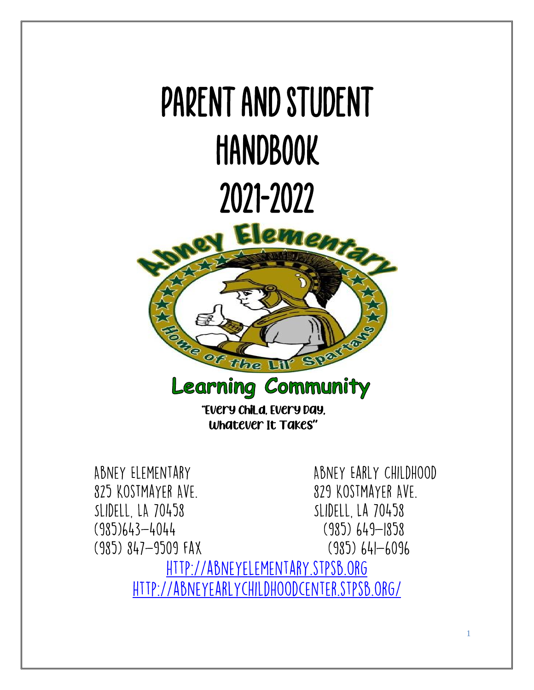# Parent and Student **HANDBOOK** 2021-2022 lentary We  $\omega$ tthe **Learning Community**

"Every Child, Every Day, Whatever It Takes**"**

ABNEY ELEMENTARY ABNEY EARLY CHILDHOOD 825 KOSTMAYER AVE. 829 KOSTMAYER AVE. SLIDELL, LA 70458 SLIDELL, LA 70458  $(985)643 - 4044$  $(985)$  649-1858  $(985)$   $847 - 9509$  FAX  $(985)$  641-6096 HTTP://ABNEYELEMENTARY.STPSB.ORG HTTP://ABNEYEARLYCHILDHOODCENTER.STPSB.ORG/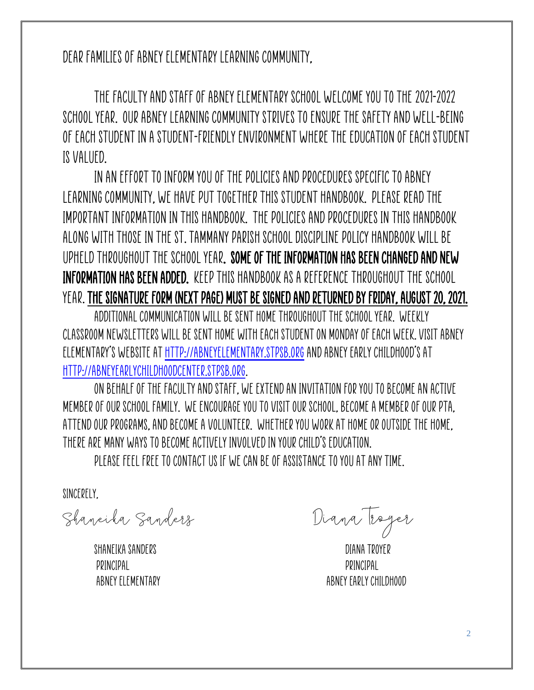Dear Families of Abney Elementary Learning Community,

The faculty and staff of Abney Elementary School welcome you to the 2021-2022 school year. Our Abney Learning Community strives to ensure the safety and well-being of each student in a student-friendly environment where the education of each student is valued.

In an effort to inform you of the policies and procedures specific to Abney Learning Community, we have put together this student handbook. Please read the important information in this handbook. The policies and procedures in this handbook along with those in the St. Tammany Parish School Discipline Policy Handbook will be upheld throughout the school year. Some of the information has been changed and new information has been added. Keep this handbook as a reference throughout the school year.The signature form (next page) must be signed and returned by Friday, August 20, 2021.

Additional communication will be sent home throughout the school year. Weekly classroom newsletters will be sent home with each student on Monday of each week. Visit Abney Elementary's website at [http://abneyelementary.stpsb.org](http://abneyelementary.stpsb.org/) and Abney Early Childhood's at [http://abneyearlychildhoodcenter.stpsb.org.](http://abneyearlychildhoodcenter.stpsb.org/)

On behalf of the faculty and staff, we extend an invitation for you to become an active member ofour school family. We encourage you to visit our school, become a member of our PTA, attend our programs, and become a volunteer. Whether you work at home or outside the home, there are many ways to become actively involved in your child's education.

Please feel free to contact us if we can be of assistance to you at any time.

SINCFRFIY.

Shaneika Sanders Diana Troyer

Shaneika sanders Diana Troyer Principal Principal

ABNEY ELEMENTARY ABNEY EARLY CHILDHOOD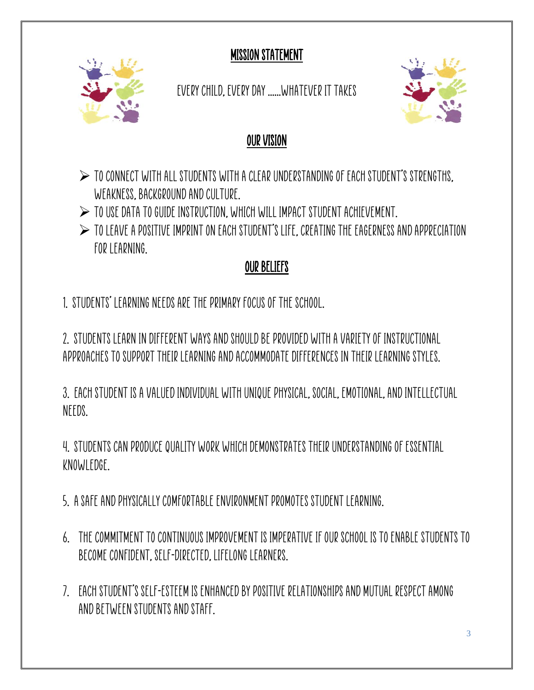MISSION STATEMENT



Every Child, Every Day ......Whatever It Takes



## OUR VISION

- $\triangleright$  to connect with all students with a clear understanding of each student's strengths. WEAKNESS, BACKGROUND AND CULTURE.
- $\triangleright$  to use data to guide instruction, which will impact student achievement.
- $\triangleright$  TO LEAVE A POSITIVE IMPRINT ON EACH STUDENT'S LIFE, CREATING THE EAGERNESS AND APPRECIATION FOR LEARNING

## OUR BELIEFS

1. Students' learning needs are the primary focus of the school.

2. Students learn in different ways and should be provided with a variety of instructional approaches to support their learning and accommodate differences in their learning styles.

3. Each student is a valued individual with unique physical, social, emotional, and intellectual NFFDS.

4. Students can produce quality work which demonstrates their understanding of essential knowledge.

- 5. A safe and physically comfortable environment promotes student learning.
- 6. The commitment to continuous improvement is imperative if our school is to enable students to become confident, self-directed, lifelong learners.
- 7. Each student's self-esteem is enhanced by positive relationships and mutual respect among and between students and staff.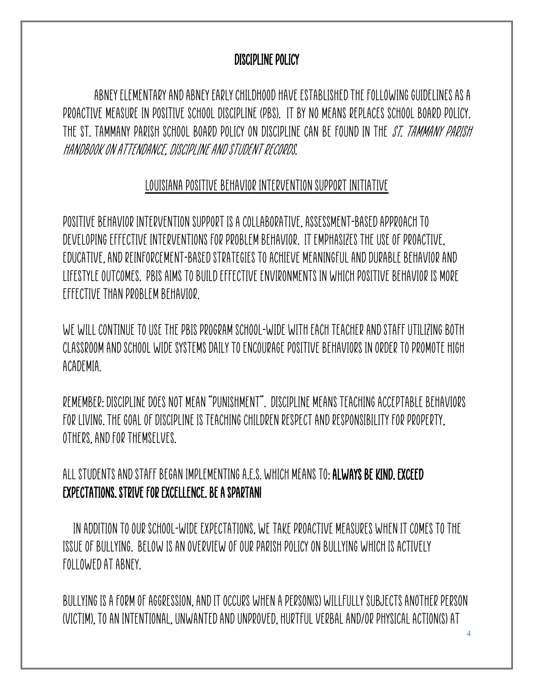#### DISCIPLINE POLICY

 Abney Elementary and Abney Early Childhood haveestablished the following guidelines as a proactive measure in positive school discipline (PBS). It by no means replaces school board policy. THE ST. TAMMANY PARISH SCHOOL BOARD POLICY ON DISCIPLINE CAN BE FOUND IN THE *ST. TAMMANY PARISH* Handbook on Attendance, Discipline and Student Records.

#### Louisiana Positive Behavior Intervention Support Initiative

Positive Behavior Intervention Support is a collaborative, assessment-based approach to developing effective interventions for problem behavior. It emphasizes the use of proactive, educative, and reinforcement-based strategies to achieve meaningful and durable behavior and lifestyle outcomes. PBIS aims to build effective environments in which positive behavior is more effective than problem behavior.

We will continue to use the PBIS program school-wide with each teacher and staff utilizing both classroom and school wide systems daily to encourage positive behaviors in order to promote high academia.

Remember: Discipline does not mean "punishment". Discipline means teaching acceptable behaviors for living. The goal of discipline is teaching children respect and responsibility for property, others, and for themselves.

all students and staff beganimplementingA.E.S. which means to: Always Be Kind. Exceed Expectations. Strive for Excellence. BE A SPARTAN!

 In addition to our school-wide expectations, we take proactive measures when it comes to the issue of bullying. Below is an overview of our parish policy on bullying which is actively followed at Abney.

Bullying is a form of aggression, and it occurs when a person(s) willfully subjects another person (victim), to an intentional, unwanted and unproved, hurtful verbal and/or physical action(s) at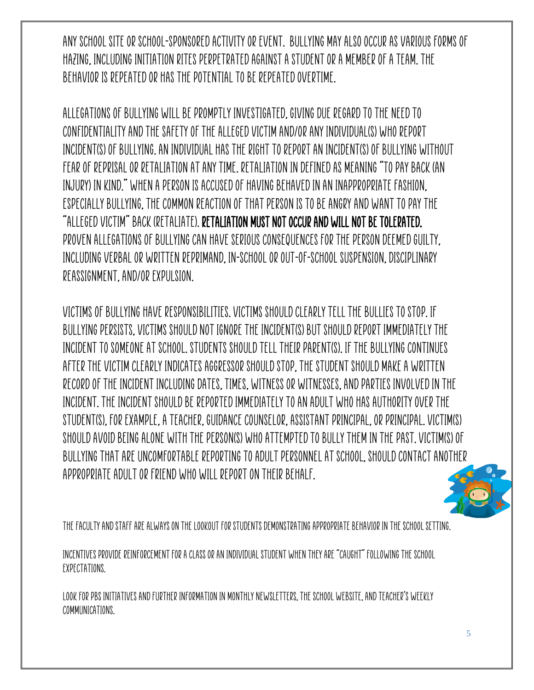any school site or school-sponsored activity or event. Bullying may also occur as various forms of hazing, including initiation rites perpetrated against a student or a member of a team. The behavior is repeated or has the potential to be repeated overtime.

Allegations of bullying will be promptly investigated, giving due regard to the need to confidentiality and the safety of the alleged victim and/or any individual(s) who report incident(s) of bullying. An individual has the right to report an incident(s) of bullying without fear of reprisal or retaliation at any time. Retaliation in defined as meaning "to pay back (an injury) in kind." When a person is accused of having behaved in an inappropriate fashion, especially bullying, the common reaction of that person is to be angry and want to pay the "alleged victim" back (retaliate). Retaliation must not occur and will not be tolerated. Proven allegations of bullying can have serious consequences for the person deemed guilty, including verbal or written reprimand, in-school or out-of-school suspension, disciplinary reassignment, and/or expulsion.

Victims of bullying have responsibilities. Victims should clearly tell the bullies to stop. If bullying persists, victims should not ignore the incident(s) but should report immediately the incident to someone at school. Students should tell their parent(s). If the bullying continues after the victim clearly indicates aggressor should stop, the student should make a written record of the incident including dates, times, witness or witnesses, and parties involved in the incident. The incident should be reported immediately to an adult who has authority over the student(s), for example, a teacher, guidance counselor, assistant principal, or principal. Victim(s) should avoid being alone with the person(s) who attempted to bully them in the past. Victim(s) of bullying that are uncomfortable reporting to adult personnel at school, should contact another appropriate adult or friend who will report on their behalf.

The faculty and staff are always on the lookout for students demonstrating appropriate behavior in the school setting.

Incentives provide reinforcement for a class or an individual student when they are "caught" following the school expectations.

Look for PBS Initiatives and further information in monthly newsletters, the school website, and Teacher's weekly communications.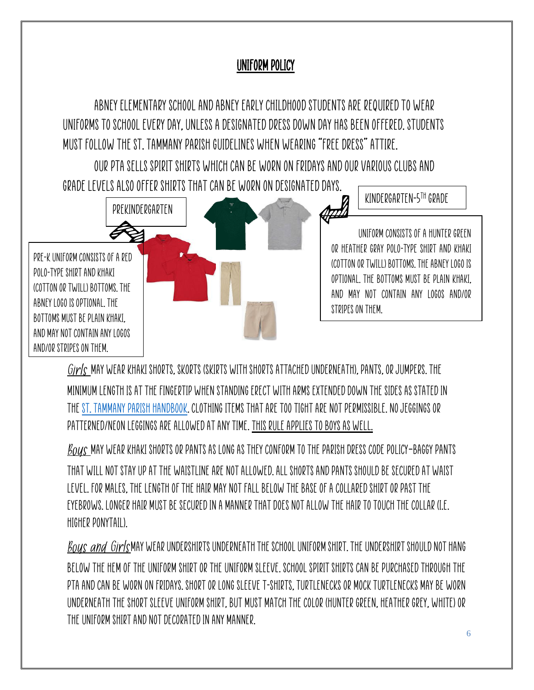#### UNIFORM POLICY

Abney Elementary School and Abney early childhoodstudents are required to wear uniforms to school every day, unless a designated dress down day has been offered. Students must follow the St. Tammany Parish guidelines when wearing "free dress" attire.

Our PTA sells spirit shirts which can be worn on Fridays and our various clubs and



 $\emph{Girls}$  may wear khaki shorts, skorts (skirts with shorts attached underneath), pants, or jumpers. The minimum length is at the fingertip when standing erect with arms extended down the sides as stated in the [St. Tammany](http://www.stpsb.org/DisciplineHandbook/DistrictHandbook.pdf) [Parish Handbook.](http://www.stpsb.org/DisciplineHandbook/DistrictHandbook.pdf) Clothing items that are too tight are not permissible. No jeggings or patterned/neon leggings are allowed at any time. This rule applies to boys as well.

 $\emph{Bous}$  may wear khaki shorts or pants as long as they conform to the parish dress code policy–baggy pants that will not stay up at the waistline are not allowed. All shorts and pants should be secured at waist level. For males, the length of the hair may not fall below the base of a collared shirt or past the eyebrows. Longer hair must be secured in a manner that does not allow the hair to touch the collar (i.e. higher ponytail).

BOUS and Girls MAY WEAR UNDERSHIRTS UNDERNEATH THE SCHOOL UNIFORM SHIRT. THE UNDERSHIRT SHOULD NOT HANG below the hem of the uniform shirt or the uniform sleeve. School spirit shirts can be purchased through the PTA and can be worn on Fridays. Short or long sleeve T-shirts, turtlenecks or mock turtlenecks may be worn underneath the short sleeve uniform shirt, but must match the color (hunter green, heather grey, white) or the uniform shirt and not decorated in any manner.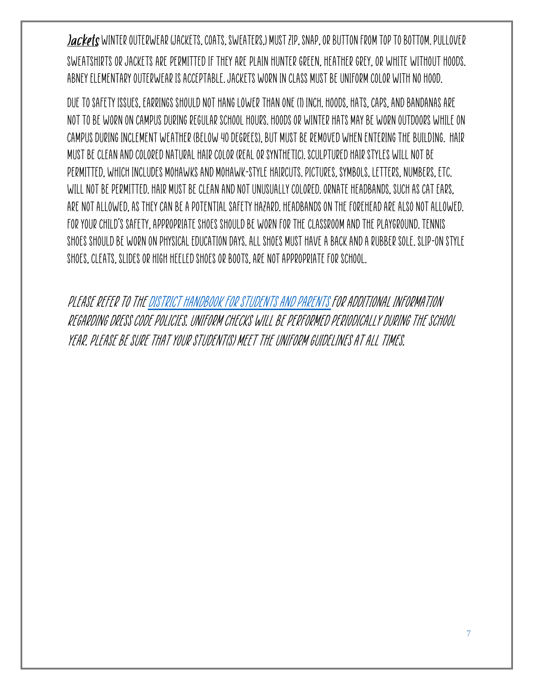Jackets WINTER OUTERWEAR (JACKETS, COATS, SWEATERS,) MUST ZIP, SNAP, OR BUTTON FROM TOP TO BOTTOM. PULLOVER sweatshirts or jackets are permitted if they are plain hunter green, heather grey, or white without hoods. Abney Elementary outerwear is acceptable. Jackets worn in class must be uniform color with no hood.

Due to safety issues, earrings should not hang lower than one (1) inch. Hoods, hats, caps, and bandanas are not to be worn on campus during regular school hours. Hoods or winter hats may be worn outdoors while on campus during inclement weather (below 40 degrees), but must be removed when entering the building. Hair must be clean and colored natural hair color (real or synthetic). Sculptured hair styles will not be permitted, which includes Mohawks and Mohawk-style haircuts. Pictures, symbols, letters, numbers, etc. will not be permitted. Hair must be cleanand not unusually colored. Ornate headbands, such as cat ears, are not allowed, as they can be a potential safety hazard. Headbands on the forehead are also not allowed. For your child's safety, appropriate shoes should be worn for the [classroom and the playground. Tennis](http://www.stpsb.org/DisciplineHandbook/DistrictHandbook.pdf)  [shoes](http://www.stpsb.org/DisciplineHandbook/DistrictHandbook.pdf) should be worn on Physical Education days. All shoes must have a back and a rubber sole. Slip-on style shoes, cleats, slides or high heeled shoes or boots, are not appropriate for school.

Please refer to the District Handbook for Students and Parents for additional information regarding dress code policies. Uniform checks will be performed periodically during the school year. Please be sure that your student(s) meet the uniform guidelines at all times.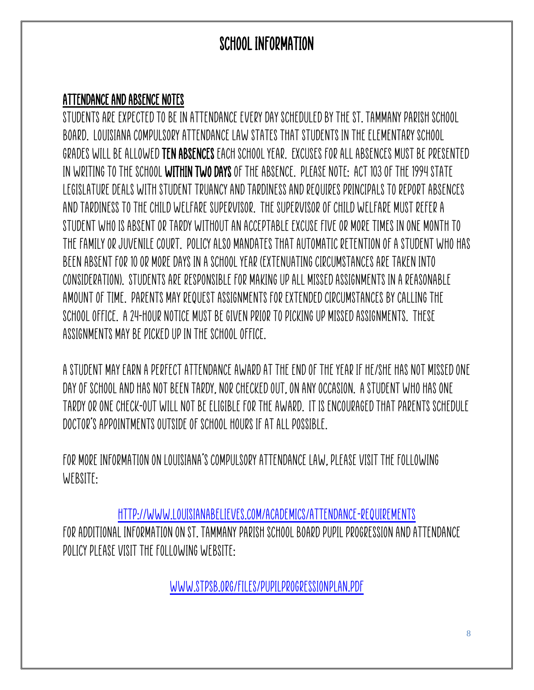## SCHOOL INFORMATION

## ATTENDANCE AND ABSENCE NOTES

Students are expected to be in attendance every day scheduled by the St. Tammany Parish School Board. Louisiana Compulsory Attendance Law states that students in the elementary school grades will be allowed ten absences each school year. Excuses for all absences must be presented in writing to the school within two days of the absence. PLEASE NOTE: Act 103 of the 1994 State Legislature deals with student truancyand tardiness and requires principals to report absences and tardiness to the child welfare supervisor. The Supervisor of Child Welfare must refer a student who is absent or tardy without an acceptable excuse five or more times in one month to the family or juvenile court. Policy also mandates that automatic retention of a student who has been absent for 10 or more days in a school year (extenuating circumstances are taken into consideration). Students are responsible for making up all missed assignments in a reasonable amount of time. Parents may request assignments for extended circumstancesby calling the school office. A 24-hour notice must be given prior to picking up missed assignments. These assignments may be picked up in the school office.

A student may earn a perfect Attendance Award at the end of the year if he/she has not missed one day of school and has not been tardy, nor checked out, on any occasion. A student who has one tardy or one check-out will not be eligible for the award. It is encouraged that parents schedule doctor's appointments outside of school hours if at all possible.

For more information on Louisiana's Compulsory Attendance Law, please visit the following WEBSITE:

<http://www.louisianabelieves.com/academics/attendance-requirements> For additional information on St. Tammany Parish School Board Pupil Progression and Attendance Policy please visit the following website:

[www.stpsb.org/files/pupilprogressionplan.pdf](http://www.stpsb.org/files/pupilprogressionplan.pdf)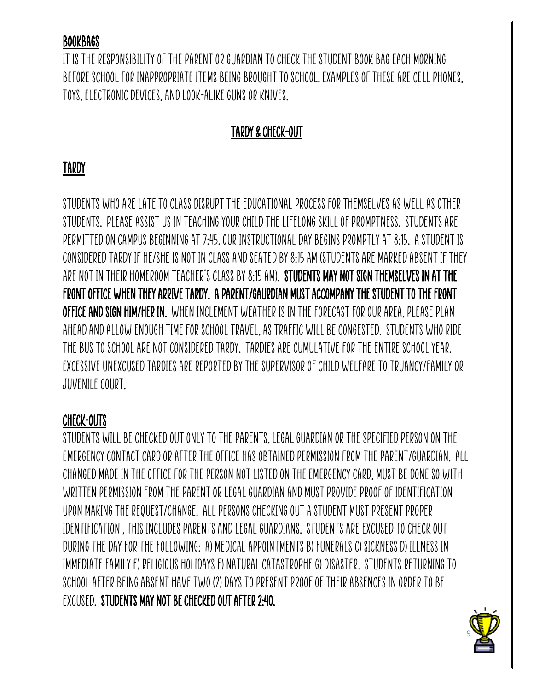#### **BOOKBAGS**

It is the responsibility of the parent or guardian to check the student book bag each morning before school for inappropriate items being brought to school. Examples of these are cell phones, toys, electronic devices, and look-alike guns or knives.

## TARDY & CHECK-OUT

## TARDY

Students who are late to class disrupt the educational process for themselves as well as other students. Please assist us in teaching your child the lifelong skill of promptness. Students are permitted on campus beginning at 7:45. Our instructionalday begins promptly at 8:15. A student is considered tardy if he/she is not in class and seated by 8:15 AM (students are marked absent if they are not in their homeroom teacher's class by 8:15 AM). STUDENTS MAY NOT SIGN THEMSELVES IN AT THE FRONT OFFICE WHEN THEY ARRIVE TARDY. A PARENT/GAURDIAN MUST ACCOMPANY THE STUDENT TO THE FRONT OFFICE AND SIGN HIM/HER IN. When inclement weather is in the forecast for our area, please plan ahead and allow enough time for school travel, as traffic will be congested. Students who ride the bus to school are not considered tardy. Tardies are cumulative for the entire school year. Excessive unexcused tardies are reported by the Supervisor of Child Welfare to truancy/family or juvenile court.

#### CHECK-OUTS

Students will be checked out only to the parents, legal guardian or the specified person on the emergency contact card or after the office has obtained permission from the parent/guardian. ALL changed made in the office for the person not listed on the emergency card, must be done so with written permission from the parent or legal guardian and must provide proof of identification upon making the request/change. All persons checking out a student must present proper identification , this includes parents and legal guardians. Students are excused to check out during the day for the following: a) medical appointments b) funerals c) sickness d) illness in immediate family e) religious holidays f) natural catastrophe g) disaster. Students returning to school after being absent have two (2) days to present proof of their absences in order to be excused. STUDENTS MAY NOT BE CHECKED OUT AFTER 2:40.

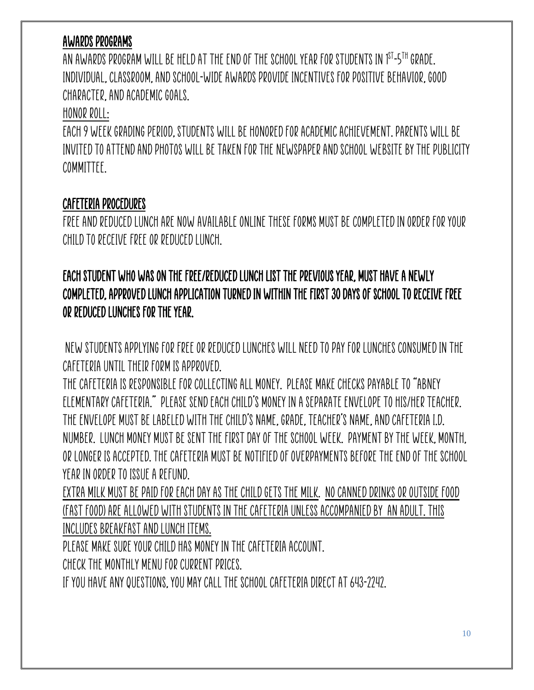## AWARDS PROGRAMS

AN AWARDS PROGRAM WILL BE HELD AT THE END OF THE SCHOOL YEAR FOR STUDENTS IN 1 $^{\text{ST}}$ -5TH GRADE. Individual, classroom, and school-wide awards provide incentives for positive behavior, good character, and academic goals.

#### Honor Roll:

Each 9 week grading period, students will be honored for academic achievement. Parents will be INVITED TO ATTEND AND PHOTOS WILL BE TAKEN FOR THE NEWSPAPER AND SCHOOL WEBSITE BY THE PUBLICITY committee.

#### CAFETERIA PROCEDURES

Freeand reduced lunch are now available online these forms must be completed in order for your child to receive free or reduced lunch.

## Each student who was on the free/reduced lunch list the previous year, must have a newly completed, approved lunch application turned in within the first 30 days of school to receive free or reduced lunches for the year.

New students applying for free or reduced lunches will need to pay for lunches consumed in the cafeteria until their form is approved.

The cafeteria is responsible for collecting all money. Please make checks payable to "Abney Elementary Cafeteria." Please send each child's money in a separate envelope to his/her teacher. The envelope must be labeled with the child's name, grade, teacher's name, and cafeteria I.D. number. Lunch money must be sent the first day of the school week. Payment by the week, month, or longer is accepted. The cafeteria must be notified of overpayments before the end of the school year in order to issue a refund.

Extra milk must be paid for each day as the child gets the milk. No canned drinks or outside food (Fast Food) are allowed with students in the cafeteria unless accompanied by an adult. This includes breakfastand lunchitems.

Please make sure your child has money in the cafeteria account.

Check the monthly menu for current prices.

If you have any questions, you may call the school cafeteria direct at 643-2242.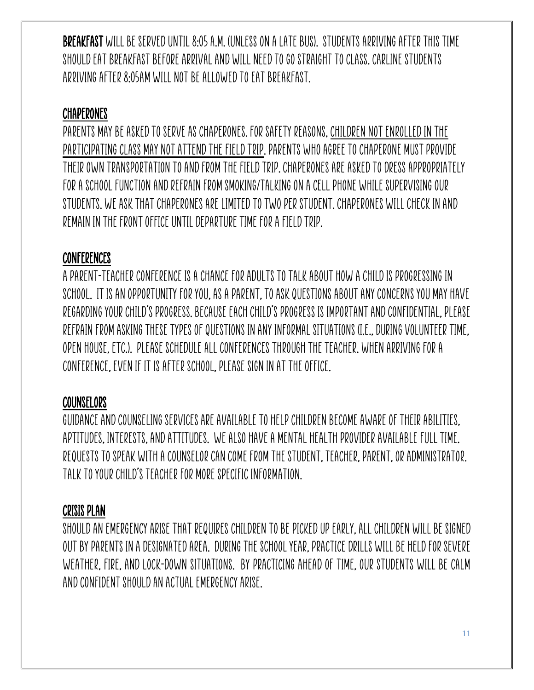Breakfast will be served until 8:05 a.m. (unless on a late bus). Students arriving after this time should eat breakfast before arrival and will need to go straight to class. Carline students arriving after 8:05am will not be allowed to eat breakfast.

#### **CHAPERONES**

PARENTS MAY BE ASKED TO SERVE AS CHAPERONES. FOR SAFETY REASONS, CHILDREN NOT ENROLLED IN THE participating class may not attend the field trip. Parents who agree to chaperone must provide their own transportation to and from the field trip. Chaperones are asked to dress appropriately for a school function and refrain from smoking/talking on a cell phone while supervising our students. We ask that chaperones are limited to two per student. Chaperones will check in and remain in the front office until departure time for a field trip.

#### **CONFERENCES**

A parent-teacher conference is a chance for adults to talk about how a child is progressing in school. It is an opportunity for you, as a parent, to ask questions about any concerns you may have regarding your child's progress. Because each child's progress is important and confidential, please refrain from asking these types of questions in any informal situations (i.e., during volunteer time, Open House, etc.). Please schedule all conferences through the teacher. When arriving for a conference, even if it is after school, please sign in at the office.

#### **COUNSELORS**

Guidance and Counseling services are available to help children become aware of their abilities, aptitudes, interests, and attitudes. We also have a Mental Health Provider available full time. Requests to speak with a counselor can come from the student, teacher, parent, or administrator. Talk to your child's teacher for more specific information.

#### CRISIS PLAN

Should an emergency arise that requires children to be picked up early, all children will be signed out by parents in a designated area. During the school year, practice drills will be held for severe weather, fire, and lock-down situations. By practicing ahead of time, our students will be calm and confident should an actual emergency arise.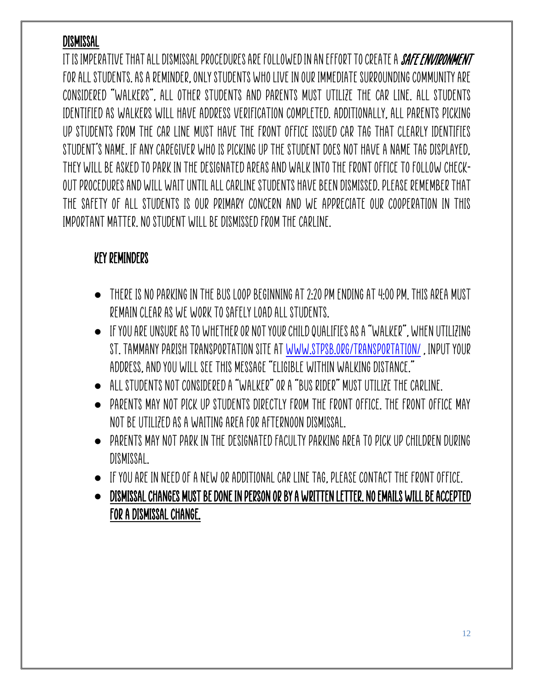## DISMISSAL

IT IS IMPERATIVE THAT ALL DISMISSAL PROCEDURES ARE FOLLOWED IN AN EFFORT TO CREATE A *SAFE ENVIRONMENT* for all students. As a reminder, only students who live in our immediate surrounding community are considered "walkers", all other students and parents must utilize the car line. All students identified as walkers will have address verification completed. Additionally, all parents picking up students from the car line must have the Front Office issued car tag that clearly identifies student's name. If any caregiver who is picking up the student does not have a name tag displayed, they will be asked to park in the designated areas and walk into the Front Office to follow checkout procedures and will wait until all carline students have been dismissed. Please remember that the safety of all students is our primary concern and we appreciate our cooperation in this important matter. No student will be dismissed from the carline.

#### KEY REMINDERS

- $\bullet$  THERE IS NO PARKING IN THE BUS LOOP BEGINNING AT 2:20 PM ENDING AT 4:00 PM. THIS AREA MUST remain clear as we work to safely load all students.
- $\bullet$  IF YOU ARE UNSURE AS TO WHETHER OR NOT YOUR CHILD QUALIFIES AS A "WALKER", WHEN UTILIZING St. Tammany Parish Transportation site a[t www.stpsb.org/transportation/](http://www.stpsb.org/transportation/) , input your address, and you will see this message "Eligible within walking distance."
- All students not considered a "walker" or a "bus rider" must utilize the carline.
- Parents may not pick up students directly from the front office. The front office may not be utilized as a waiting area for afternoon dismissal.
- Parents may not park in the designated faculty parking area to pick up children during dismissal.
- If you are in need of a new or additional car line tag, please contact the front office.
- DISMISSAL CHANGES MUST BE DONE IN PERSON OR BY A WRITTEN LETTER. NO EMAILS WILL BE ACCEPTED FOR A DISMISSAL CHANGE.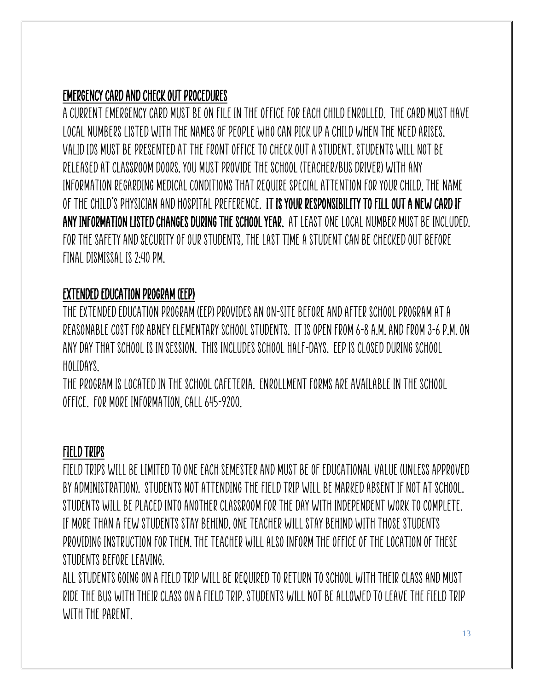## EMERGENCY CARD and CHECK OUT PROCEDURES

A current emergency card must be on file in the office for each child enrolled. The card must have local numbers listed with the names of people who can pick up a child when the need arises. Valid IDs must be presented at the front office to check out a student. Students will not be released at classroom doors. You must provide the school (teacher/bus driver) with any information regarding medical conditions that require special attention for your child, the name of the child's physician and hospital preference. It is your responsibility to fill out a new card if any information listed changes during the school year. At least one local number must be included. For the safety and security of our students, the last time a student can be checked out before final dismissal is 2:40 pm.

## EXTENDED EDUCATION PROGRAM (EEP)

The Extended Education Program (EEP) provides an on-site before and after school program at a reasonable cost for Abney Elementary School students. It is open from 6-8 a.m. and from 3-6 p.m. on any day that school is in session. This includes school half-days. EEP is closed during school holidays.

The program is located in the school cafeteria. Enrollment forms are available in the school office. For more information, call 645-9200.

## FIELD TRIPS

Field trips will be limited to one each semester and must be of educational value (unless approved by administration). Students not attending the field trip will be marked absent if not at school. Students will be placed into another classroom for the day with independent work to complete. If more than a few students stay behind, one teacher will stay behind with those students providing instruction for them. The teacher will also inform the office of the location of these students before leaving.

All students going on a field trip will be required to return to school with their class and must ride the bus with their class on a field trip. Students will not be allowed to leave the field trip with the parent.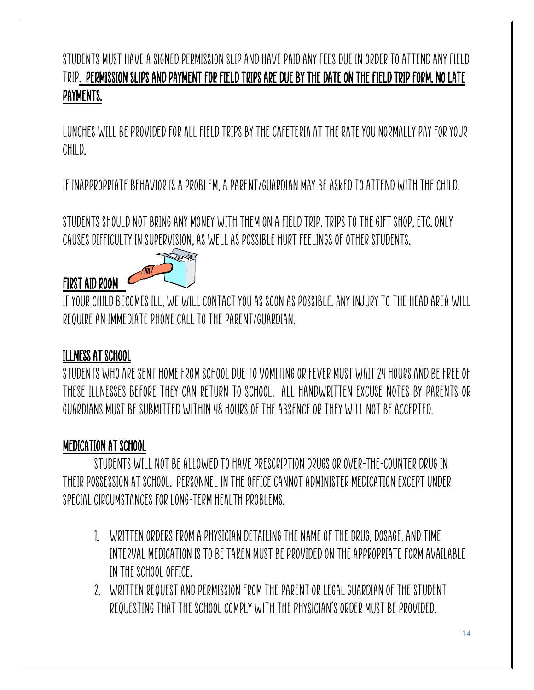## Students must have a signed permission slipand have paid any fees due in order to attend any field trip. Permission slips AND payment for field trips are due by the date on the field trip form. No late payments.

Lunches will be provided for all field trips by the cafeteria at the rate you normally pay for your child.

If inappropriate behavior is a problem, a parent/guardian may be asked to attend with the child.

Students should not bring any money with them ona field trip. Trips to the gift shop, etc. only causes difficulty in supervision, as well as possible hurt feelings of other students.



If your child becomes ill, we will contact you as soon as possible. Any injury to the head area will require an immediate phone call to the parent/guardian.

#### ILLNESS AT SCHOOL

FIRST AID ROOM

Students who are sent home from school due to vomiting or fever must wait 24 hours and be free of these illnesses before they can return to school. All handwritten excuse notes by parents or guardians must be submitted within 48 hours of the absence or they will not be accepted.

## MEDICATION AT SCHOOL

Students will NOT be allowed to have prescription drugs or over-the-counter drug in their possession at school. Personnel in the office cannot administer medication except under special circumstances for long-term health problems.

- 1. Written orders from a physician detailing the name of the drug, dosage, and time interval medication is to be taken must be provided on the appropriate form available in the school office.
- 2. Written request and permission from the parent or legal guardian of the student requesting that the school comply with the physician's order must be provided.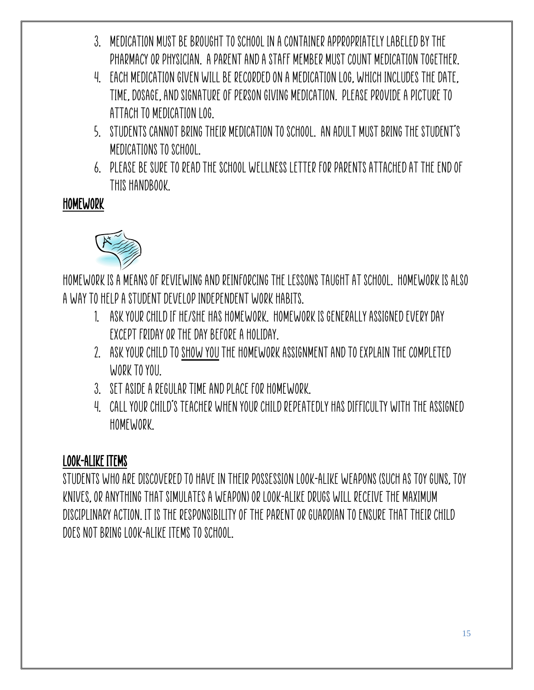- 3. Medication must be brought to school in a container appropriately labeled by the pharmacy or physician. A parent and a staff member must count medication together.
- 4. Each medication given will be recorded on a medication log, which includes the date, time, dosage, and signature of person giving medication. Please provide a picture to attach to medication log.
- 5. Students cannot bring their medication to school. AN ADULT MUST BRING THE STUDENT'S MEDICATIONS TO SCHOOL.
- 6. Please be sure to read the School Wellness letter for parents attached at the end of this handbook.

## HOMEWORK



Homework is a means of reviewing and reinforcing the lessons taught at school. Homework is also a way to help a student develop independent work habits.

- 1. Ask your child if he/she has homework. Homework is generally assigned every day except Friday or the day before a holiday.
- 2. Ask your child to show youthe homework assignment and to explain the completed work to you.
- 3. Set aside a regular time and place for homework.
- 4. Call your child's teacher when your child repeatedly has difficulty withthe assigned homework.

## LOOK-ALIKE ITEMS

Students who are discovered to have in their possession look-alike weapons (such as toy guns, toy knives, or anything that simulates a weapon) or look-alike drugs will receive the maximum disciplinary action. It is the responsibility of the parent or guardian to ensure that their child does not bring look-alike items to school.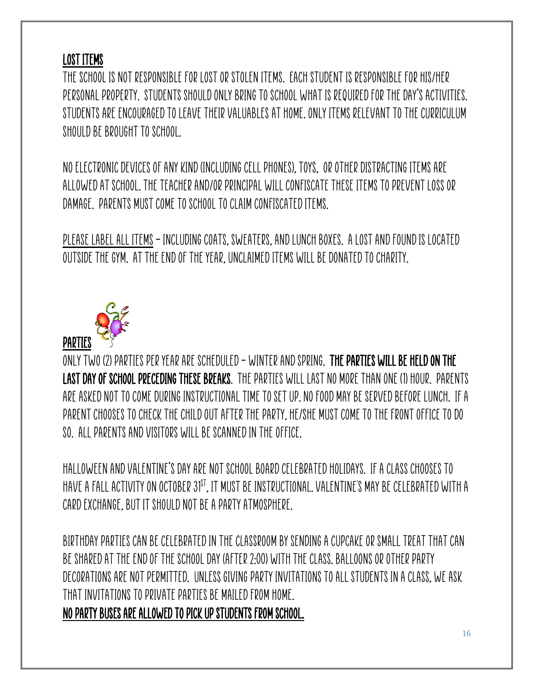## LOST ITEMS

The school is not responsible for lost or stolen items. Each student is responsible for his/her personal property. Students should only bring to school what is required for the day's activities. Students are encouraged to leave their valuables at home. Only items relevant to the curriculum should be brought to school.

No electronic devices of any kind (including cell phones), toys, or other distracting items are allowed at school. The teacher and/or principal will confiscate these items to prevent loss or damage. Parents must come to school to claim confiscated items.

PLEASE LABEL ALL ITEMS - INCLUDING COATS, SWEATERS, AND LUNCH BOXES. A LOST AND FOUND IS LOCATED outside the gym. At the end of the year, unclaimed items will be donated to charity.



Only two (2) parties per year are scheduled – winter and spring. The parties will be held on the last day of school preceding these breaks. The parties will last no more than one (1) hour. Parents are asked not to come during instructional time to set up. No food may be served before lunch. If a parent chooses to check the child out after the party, he/she must come to the front office to do so. All parents and visitors will be scanned in the office.

Halloween and Valentine's Day are not School Board celebrated holidays. If a class chooses to have a fall activity on October 31st, it must be instructional. Valentine's may be celebrated with a card exchange, but it should not be a party atmosphere.

Birthday parties can be celebrated in the classroom by sending a cupcake or small treat that can be shared at the end of the school day (after 2:00) with the class. Balloons or other party decorations are not permitted. Unless giving party invitations to ALL students in a class, we ask that invitations to private parties be mailed from home.

NO PARTY BUSES ARE ALLOWED TO PICK UP STUDENTS FROM SCHOOL.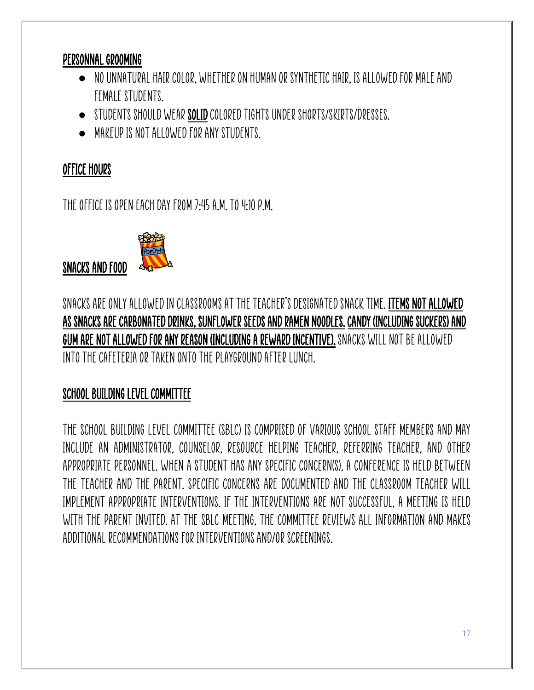#### PERSONNAL GROOMING

- $\bullet$   $\,$  NO UNNATURAL HAIR COLOR, WHETHER ON HUMAN OR SYNTHETIC HAIR, IS ALLOWED FOR MALE AND female students.
- Students should wear SOLIDcolored tights under shorts/skirts/dresses.
- Makeup is not allowed for any students.

#### OFFICE HOURS

SNACKS AND FOOD

The office is open each day from 7:45a.m. to 4:10 p.m.



Snacks are only allowed in classrooms at the teacher's designated snack time. Items not allowed as snacks are carbonated drinks, sunflower seeds and ramen noodles. Candy (including suckers) and Gum are not allowed for any reason (including a reward incentive). Snacks will not be allowed into the cafeteria or taken onto the playground after lunch.

## SCHOOL BUILDING LEVEL COMMITTEE

The School Building Level Committee (SBLC) is comprised of various school staff members and may include an administrator, counselor, resource helping teacher, referring teacher, and other appropriate personnel. When a student has any specific concern(s), a conference is held between the teacher and the parent. Specific concerns are documented and the classroom teacher will implement appropriate interventions. If the interventions are not successful, a meeting is held with the parent invited. At the SBLC meeting, the committee reviews all information and makes additional recommendations for interventions and/or screenings.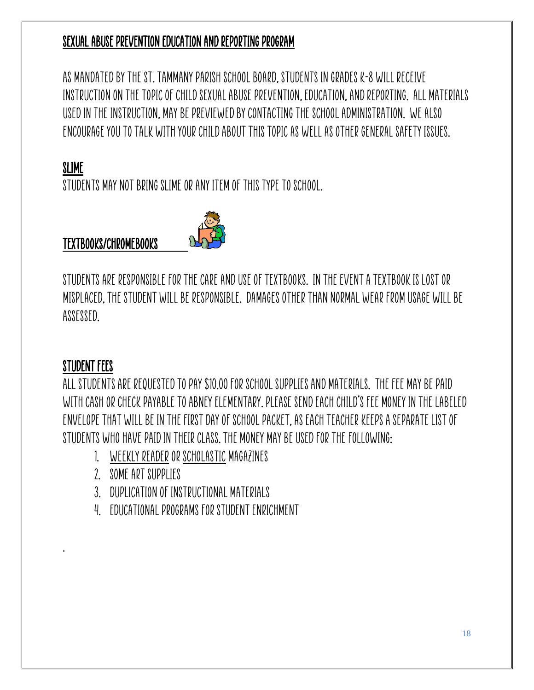#### SEXUAL ABUSE PREVENTION EDUCATION AND REPORTING PROGRAM

As mandated by the St. Tammany Parish School Board, students in grades K-8 will receive instruction on the topic of Child Sexual Abuse Prevention, Education, and Reporting. All materials used in the instruction, may be previewed by contacting the school administration. We also encourage you to talk with your child about this topic as well as other general safety issues.

#### SLIME

STUDENTS MAY NOT BRING SLIME OR ANY ITEM OF THIS TYPE TO SCHOOL.

#### TEXTBOOKS/Chromebooks



Students are responsible for the care and use of textbooks. In the event a textbook is lost or misplaced, the student will be responsible. Damages other than normal wear from usage will be assessed.

#### STUDENT FEES

.

All students are requested to pay \$10.00 for school supplies and materials. The fee may be paid with cash or check payable to Abney Elementary. Please send each child's fee money in the labeled envelope that will be in the First Day of School packet, as each teacher keeps a separate list of students who have paid in their class. The money may be used for the following:

- 1. Weekly Reader or Scholasticmagazines
- 2. Some art supplies
- 3. Duplication of instructional materials
- 4. Educational programs for student enrichment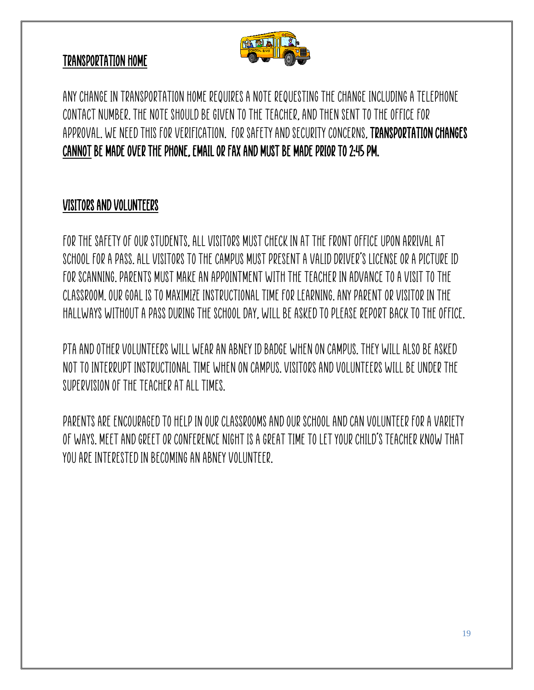

#### TRANSPORTATION HOME

Any change in transportation home requires a note requesting the change including a telephone contact number. The note should be given to the teacher, and then sent to the office for approval. We need this for verification. For safety and security concerns, transportation changes CANNOT be made over the phone, email or fax and MUST be made prior to 2:45 PM.

#### VISITORS AND VOLUNTEERS

For the safety of our students, all visitors must check in at the front office upon arrival at school for a pass. All visitors to the campus must present a valid driver's license or a picture ID for scanning. Parents must make an appointment with the teacher in advance to a visit to the classroom. Our goal is to maximize instructional time for learning. Any parent or visitor in the hallways without a pass during the school day, will be asked to please report back to the office.

PTA and other volunteers will wear an Abney ID badge when on campus. They will also be asked not to interrupt instructional time when on campus.Visitors and volunteers will be under the supervision of the teacher at all times.

Parents are encouraged to help in our classrooms and our school and can volunteer for a variety of ways. Meet and Greet or Conference Night is a great time to let your child's teacher know that you are interested in becoming an Abney volunteer.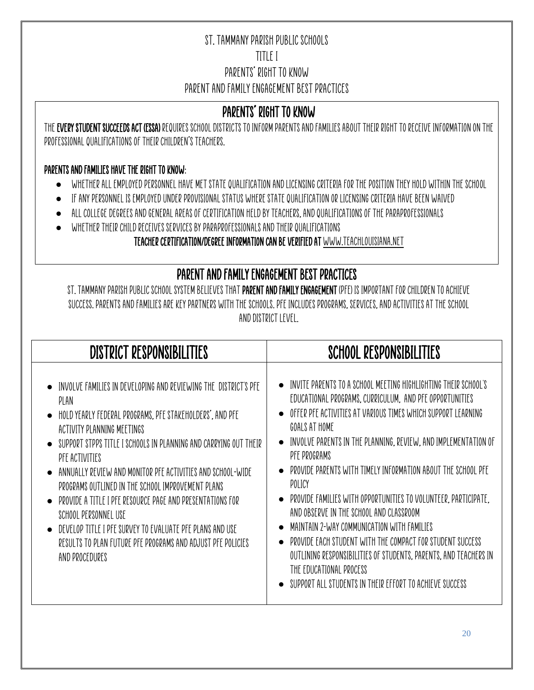#### St. Tammany Parish Public Schools TITLE I Parents' Right to Know Parent and Family Engagement Best Practices

#### PARENTS' RIGHT TO KNOW

The Every Student Succeeds Act (ESSA) requires school districts to inform parents and families about their right to receive information on the professional qualifications of their children's teachers.

#### Parents and families have the right to know:

- Whether all employed personnel have met state qualification and licensing criteria for the position they hold within the school
- If any personnel is employed under provisional status where state qualification or licensing criteria have been waived
- All college degrees and general areas of certification held by teachers, and qualifications of the paraprofessionals
- $\bullet$  WHETHER THEIR CHILD RECEIVES SERVICES BY PARAPROFESSIONALS AND THEIR QUALIFICATIONS

#### Teacher Certification/Degree Information can be verified a[t www.teachlouisiana.net](http://www.teachlouisiana.net/)

## PARENT AND FAMILY ENGAGEMENT BEST PRACTICES

ST. TAMMANY PARISH PUBLIC SCHOOL SYSTEM BELIEVES THAT PARENT AND FAMILY ENGAGEMENT (PFE) IS IMPORTANT FOR CHILDREN TO ACHIEVE success. Parents and families are key partners with the schools. PFE includes programs, services, and activities at the school and district level.

| <b>DISTRICT RESPONSIBILITIES</b>                                                                                                                                                                                                                                                                                                                                                                                                                                                                                                                                                                               | SCHOOL RESPONSIBILITIES                                                                                                                                                                                                                                                                                                                                                                                                                                                                                                                                                                                                                                                                                                                                  |
|----------------------------------------------------------------------------------------------------------------------------------------------------------------------------------------------------------------------------------------------------------------------------------------------------------------------------------------------------------------------------------------------------------------------------------------------------------------------------------------------------------------------------------------------------------------------------------------------------------------|----------------------------------------------------------------------------------------------------------------------------------------------------------------------------------------------------------------------------------------------------------------------------------------------------------------------------------------------------------------------------------------------------------------------------------------------------------------------------------------------------------------------------------------------------------------------------------------------------------------------------------------------------------------------------------------------------------------------------------------------------------|
| INVOLVE FAMILIES IN DEVELOPING AND REVIEWING THE DISTRICT'S PFE<br>PLAN<br>• HOLD YEARLY FEDERAL PROGRAMS, PFE STAKEHOLDERS', AND PFE<br>ACTIVITY PLANNING MEETINGS<br>SUPPORT STPPS TITLE I SCHOOLS IN PLANNING AND CARRYING OUT THEIR<br>PFE ACTIVITIES<br>ANNUALLY REVIEW AND MONITOR PFE ACTIVITIES AND SCHOOL-WIDE<br>PROGRAMS OUTLINED IN THE SCHOOL IMPROVEMENT PLANS<br>PROVIDE A TITLE I PFE RESOURCE PAGE AND PRESENTATIONS FOR<br>SCHOOL PERSONNEL USE<br>DEVELOP TITLE I PFE SURVEY TO EVALUATE PFE PLANS AND USE<br>RESULTS TO PLAN FUTURE PFE PROGRAMS AND ADJUST PFE POLICIES<br>AND PROCEDURES | INVITE PARENTS TO A SCHOOL MEETING HIGHLIGHTING THEIR SCHOOL'S<br>EDUCATIONAL PROGRAMS, CURRICULUM, AND PFE OPPORTUNITIES<br>OFFER PFE ACTIVITIES AT VARIOUS TIMES WHICH SUPPORT LEARNING<br>GOALS AT HOME<br>INVOLVE PARENTS IN THE PLANNING, REVIEW, AND IMPLEMENTATION OF<br>PFE PROGRAMS<br>PROVIDE PARENTS WITH TIMELY INFORMATION ABOUT THE SCHOOL PFE<br>POLICY<br>PROVIDE FAMILIES WITH OPPORTUNITIES TO VOLUNTEER, PARTICIPATE,<br>AND OBSERVE IN THE SCHOOL AND CLASSROOM<br>MAINTAIN 2-WAY COMMUNICATION WITH FAMILIES<br>PROVIDE EACH STUDENT WITH THE COMPACT FOR STUDENT SUCCESS<br>OUTLINING RESPONSIBILITIES OF STUDENTS, PARENTS, AND TEACHERS IN<br>THE EDUCATIONAL PROCESS<br>SUPPORT ALL STUDENTS IN THEIR EFFORT TO ACHIEVE SUCCESS |